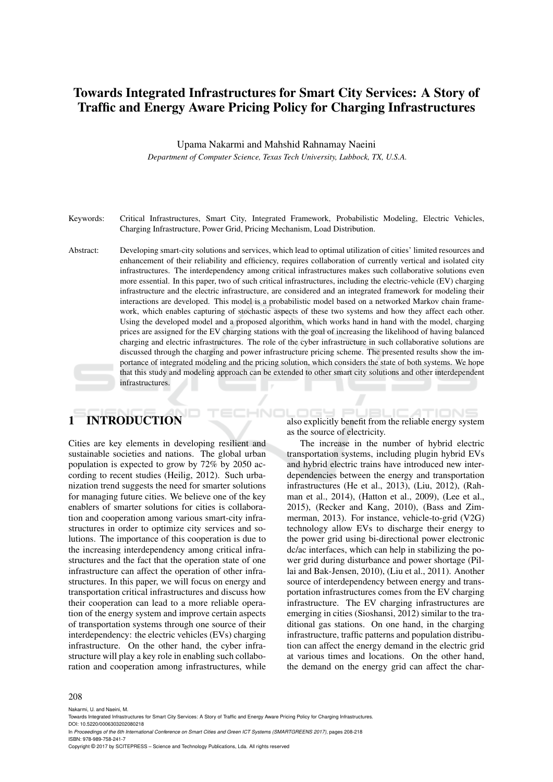# Towards Integrated Infrastructures for Smart City Services: A Story of Traffic and Energy Aware Pricing Policy for Charging Infrastructures

Upama Nakarmi and Mahshid Rahnamay Naeini

*Department of Computer Science, Texas Tech University, Lubbock, TX, U.S.A.*

- Keywords: Critical Infrastructures, Smart City, Integrated Framework, Probabilistic Modeling, Electric Vehicles, Charging Infrastructure, Power Grid, Pricing Mechanism, Load Distribution.
- Abstract: Developing smart-city solutions and services, which lead to optimal utilization of cities' limited resources and enhancement of their reliability and efficiency, requires collaboration of currently vertical and isolated city infrastructures. The interdependency among critical infrastructures makes such collaborative solutions even more essential. In this paper, two of such critical infrastructures, including the electric-vehicle (EV) charging infrastructure and the electric infrastructure, are considered and an integrated framework for modeling their interactions are developed. This model is a probabilistic model based on a networked Markov chain framework, which enables capturing of stochastic aspects of these two systems and how they affect each other. Using the developed model and a proposed algorithm, which works hand in hand with the model, charging prices are assigned for the EV charging stations with the goal of increasing the likelihood of having balanced charging and electric infrastructures. The role of the cyber infrastructure in such collaborative solutions are discussed through the charging and power infrastructure pricing scheme. The presented results show the importance of integrated modeling and the pricing solution, which considers the state of both systems. We hope that this study and modeling approach can be extended to other smart city solutions and other interdependent infrastructures.

HN

# **INTRODUCTION**

Cities are key elements in developing resilient and sustainable societies and nations. The global urban population is expected to grow by 72% by 2050 according to recent studies (Heilig, 2012). Such urbanization trend suggests the need for smarter solutions for managing future cities. We believe one of the key enablers of smarter solutions for cities is collaboration and cooperation among various smart-city infrastructures in order to optimize city services and solutions. The importance of this cooperation is due to the increasing interdependency among critical infrastructures and the fact that the operation state of one infrastructure can affect the operation of other infrastructures. In this paper, we will focus on energy and transportation critical infrastructures and discuss how their cooperation can lead to a more reliable operation of the energy system and improve certain aspects of transportation systems through one source of their interdependency: the electric vehicles (EVs) charging infrastructure. On the other hand, the cyber infrastructure will play a key role in enabling such collaboration and cooperation among infrastructures, while

also explicitly benefit from the reliable energy system as the source of electricity.

The increase in the number of hybrid electric transportation systems, including plugin hybrid EVs and hybrid electric trains have introduced new interdependencies between the energy and transportation infrastructures (He et al., 2013), (Liu, 2012), (Rahman et al., 2014), (Hatton et al., 2009), (Lee et al., 2015), (Recker and Kang, 2010), (Bass and Zimmerman, 2013). For instance, vehicle-to-grid (V2G) technology allow EVs to discharge their energy to the power grid using bi-directional power electronic dc/ac interfaces, which can help in stabilizing the power grid during disturbance and power shortage (Pillai and Bak-Jensen, 2010), (Liu et al., 2011). Another source of interdependency between energy and transportation infrastructures comes from the EV charging infrastructure. The EV charging infrastructures are emerging in cities (Sioshansi, 2012) similar to the traditional gas stations. On one hand, in the charging infrastructure, traffic patterns and population distribution can affect the energy demand in the electric grid at various times and locations. On the other hand, the demand on the energy grid can affect the char-

#### 208

Nakarmi, U. and Naeini, M.

Towards Integrated Infrastructures for Smart City Services: A Story of Traffic and Energy Aware Pricing Policy for Charging Infrastructures. DOI: 10.5220/0006303202080218

In *Proceedings of the 6th International Conference on Smart Cities and Green ICT Systems (SMARTGREENS 2017)*, pages 208-218 ISBN: 978-989-758-241-7

Copyright © 2017 by SCITEPRESS – Science and Technology Publications, Lda. All rights reserved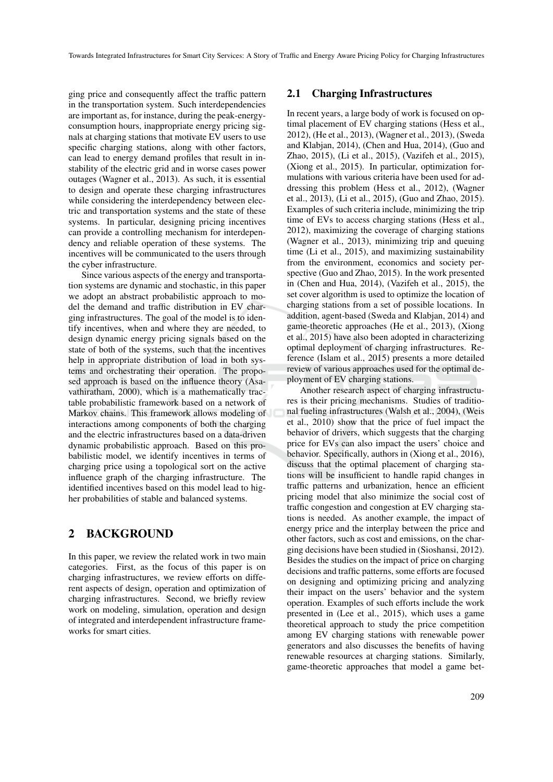ging price and consequently affect the traffic pattern in the transportation system. Such interdependencies are important as, for instance, during the peak-energyconsumption hours, inappropriate energy pricing signals at charging stations that motivate EV users to use specific charging stations, along with other factors, can lead to energy demand profiles that result in instability of the electric grid and in worse cases power outages (Wagner et al., 2013). As such, it is essential to design and operate these charging infrastructures while considering the interdependency between electric and transportation systems and the state of these systems. In particular, designing pricing incentives can provide a controlling mechanism for interdependency and reliable operation of these systems. The incentives will be communicated to the users through the cyber infrastructure.

Since various aspects of the energy and transportation systems are dynamic and stochastic, in this paper we adopt an abstract probabilistic approach to model the demand and traffic distribution in EV charging infrastructures. The goal of the model is to identify incentives, when and where they are needed, to design dynamic energy pricing signals based on the state of both of the systems, such that the incentives help in appropriate distribution of load in both systems and orchestrating their operation. The proposed approach is based on the influence theory (Asavathiratham, 2000), which is a mathematically tractable probabilistic framework based on a network of Markov chains. This framework allows modeling of interactions among components of both the charging and the electric infrastructures based on a data-driven dynamic probabilistic approach. Based on this probabilistic model, we identify incentives in terms of charging price using a topological sort on the active influence graph of the charging infrastructure. The identified incentives based on this model lead to higher probabilities of stable and balanced systems.

#### 2 BACKGROUND

In this paper, we review the related work in two main categories. First, as the focus of this paper is on charging infrastructures, we review efforts on different aspects of design, operation and optimization of charging infrastructures. Second, we briefly review work on modeling, simulation, operation and design of integrated and interdependent infrastructure frameworks for smart cities.

#### 2.1 Charging Infrastructures

In recent years, a large body of work is focused on optimal placement of EV charging stations (Hess et al., 2012), (He et al., 2013), (Wagner et al., 2013), (Sweda and Klabjan, 2014), (Chen and Hua, 2014), (Guo and Zhao, 2015), (Li et al., 2015), (Vazifeh et al., 2015), (Xiong et al., 2015). In particular, optimization formulations with various criteria have been used for addressing this problem (Hess et al., 2012), (Wagner et al., 2013), (Li et al., 2015), (Guo and Zhao, 2015). Examples of such criteria include, minimizing the trip time of EVs to access charging stations (Hess et al., 2012), maximizing the coverage of charging stations (Wagner et al., 2013), minimizing trip and queuing time (Li et al., 2015), and maximizing sustainability from the environment, economics and society perspective (Guo and Zhao, 2015). In the work presented in (Chen and Hua, 2014), (Vazifeh et al., 2015), the set cover algorithm is used to optimize the location of charging stations from a set of possible locations. In addition, agent-based (Sweda and Klabjan, 2014) and game-theoretic approaches (He et al., 2013), (Xiong et al., 2015) have also been adopted in characterizing optimal deployment of charging infrastructures. Reference (Islam et al., 2015) presents a more detailed review of various approaches used for the optimal deployment of EV charging stations.

Another research aspect of charging infrastructures is their pricing mechanisms. Studies of traditional fueling infrastructures (Walsh et al., 2004), (Weis et al., 2010) show that the price of fuel impact the behavior of drivers, which suggests that the charging price for EVs can also impact the users' choice and behavior. Specifically, authors in (Xiong et al., 2016), discuss that the optimal placement of charging stations will be insufficient to handle rapid changes in traffic patterns and urbanization, hence an efficient pricing model that also minimize the social cost of traffic congestion and congestion at EV charging stations is needed. As another example, the impact of energy price and the interplay between the price and other factors, such as cost and emissions, on the charging decisions have been studied in (Sioshansi, 2012). Besides the studies on the impact of price on charging decisions and traffic patterns, some efforts are focused on designing and optimizing pricing and analyzing their impact on the users' behavior and the system operation. Examples of such efforts include the work presented in (Lee et al., 2015), which uses a game theoretical approach to study the price competition among EV charging stations with renewable power generators and also discusses the benefits of having renewable resources at charging stations. Similarly, game-theoretic approaches that model a game bet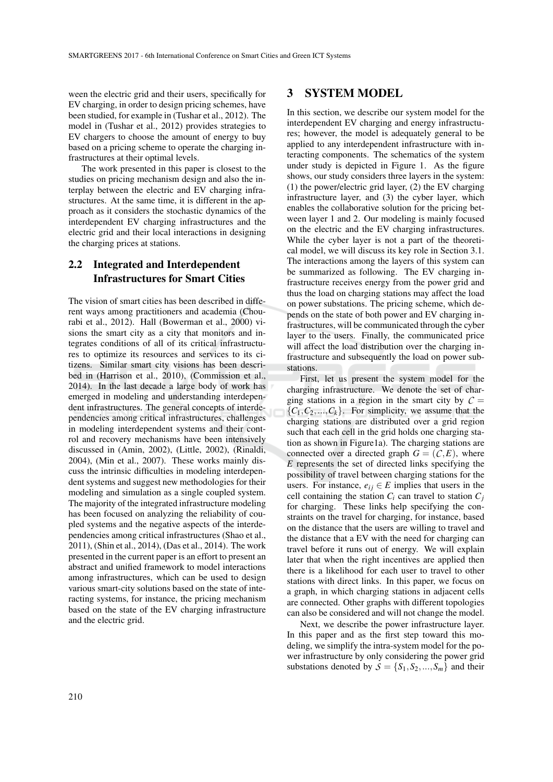ween the electric grid and their users, specifically for EV charging, in order to design pricing schemes, have been studied, for example in (Tushar et al., 2012). The model in (Tushar et al., 2012) provides strategies to EV chargers to choose the amount of energy to buy based on a pricing scheme to operate the charging infrastructures at their optimal levels.

The work presented in this paper is closest to the studies on pricing mechanism design and also the interplay between the electric and EV charging infrastructures. At the same time, it is different in the approach as it considers the stochastic dynamics of the interdependent EV charging infrastructures and the electric grid and their local interactions in designing the charging prices at stations.

## 2.2 Integrated and Interdependent Infrastructures for Smart Cities

The vision of smart cities has been described in different ways among practitioners and academia (Chourabi et al., 2012). Hall (Bowerman et al., 2000) visions the smart city as a city that monitors and integrates conditions of all of its critical infrastructures to optimize its resources and services to its citizens. Similar smart city visions has been described in (Harrison et al., 2010), (Commission et al., 2014). In the last decade a large body of work has emerged in modeling and understanding interdependent infrastructures. The general concepts of interdependencies among critical infrastructures, challenges in modeling interdependent systems and their control and recovery mechanisms have been intensively discussed in (Amin, 2002), (Little, 2002), (Rinaldi, 2004), (Min et al., 2007). These works mainly discuss the intrinsic difficulties in modeling interdependent systems and suggest new methodologies for their modeling and simulation as a single coupled system. The majority of the integrated infrastructure modeling has been focused on analyzing the reliability of coupled systems and the negative aspects of the interdependencies among critical infrastructures (Shao et al., 2011), (Shin et al., 2014), (Das et al., 2014). The work presented in the current paper is an effort to present an abstract and unified framework to model interactions among infrastructures, which can be used to design various smart-city solutions based on the state of interacting systems, for instance, the pricing mechanism based on the state of the EV charging infrastructure and the electric grid.

### 3 SYSTEM MODEL

In this section, we describe our system model for the interdependent EV charging and energy infrastructures; however, the model is adequately general to be applied to any interdependent infrastructure with interacting components. The schematics of the system under study is depicted in Figure 1. As the figure shows, our study considers three layers in the system: (1) the power/electric grid layer, (2) the EV charging infrastructure layer, and (3) the cyber layer, which enables the collaborative solution for the pricing between layer 1 and 2. Our modeling is mainly focused on the electric and the EV charging infrastructures. While the cyber layer is not a part of the theoretical model, we will discuss its key role in Section 3.1. The interactions among the layers of this system can be summarized as following. The EV charging infrastructure receives energy from the power grid and thus the load on charging stations may affect the load on power substations. The pricing scheme, which depends on the state of both power and EV charging infrastructures, will be communicated through the cyber layer to the users. Finally, the communicated price will affect the load distribution over the charging infrastructure and subsequently the load on power substations.

First, let us present the system model for the charging infrastructure. We denote the set of charging stations in a region in the smart city by  $C =$  ${C_1, C_2, ..., C_k}$ . For simplicity, we assume that the charging stations are distributed over a grid region such that each cell in the grid holds one charging station as shown in Figure1a). The charging stations are connected over a directed graph  $G = (C, E)$ , where *E* represents the set of directed links specifying the possibility of travel between charging stations for the users. For instance,  $e_{ij} \in E$  implies that users in the cell containing the station  $C_i$  can travel to station  $C_j$ for charging. These links help specifying the constraints on the travel for charging, for instance, based on the distance that the users are willing to travel and the distance that a EV with the need for charging can travel before it runs out of energy. We will explain later that when the right incentives are applied then there is a likelihood for each user to travel to other stations with direct links. In this paper, we focus on a graph, in which charging stations in adjacent cells are connected. Other graphs with different topologies can also be considered and will not change the model.

Next, we describe the power infrastructure layer. In this paper and as the first step toward this modeling, we simplify the intra-system model for the power infrastructure by only considering the power grid substations denoted by  $S = \{S_1, S_2, ..., S_m\}$  and their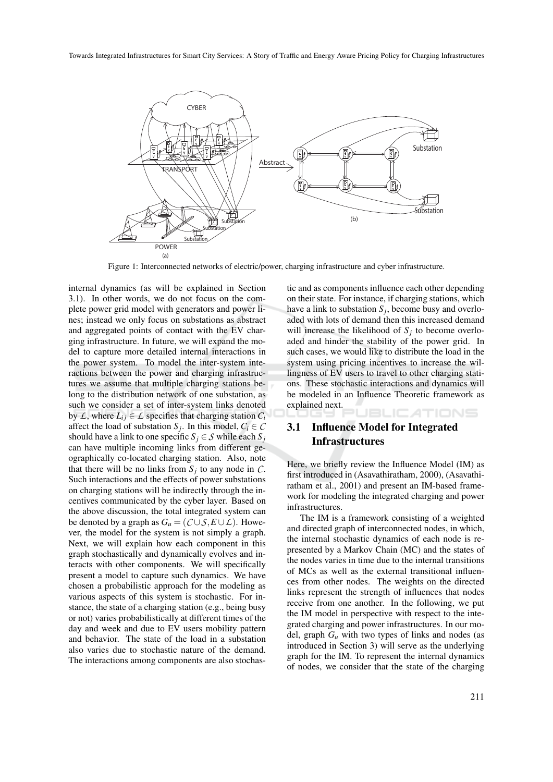

Figure 1: Interconnected networks of electric/power, charging infrastructure and cyber infrastructure.

internal dynamics (as will be explained in Section 3.1). In other words, we do not focus on the complete power grid model with generators and power lines; instead we only focus on substations as abstract and aggregated points of contact with the EV charging infrastructure. In future, we will expand the model to capture more detailed internal interactions in the power system. To model the inter-system interactions between the power and charging infrastructures we assume that multiple charging stations belong to the distribution network of one substation, as such we consider a set of inter-system links denoted by *L*, where  $L_{ij} \in L$  specifies that charging station  $C_i$ affect the load of substation *S*<sup>*j*</sup>. In this model,  $C_i \in \mathcal{C}$ should have a link to one specific  $S_i \in S$  while each  $S_i$ can have multiple incoming links from different geographically co-located charging station. Also, note that there will be no links from  $S_j$  to any node in  $C$ . Such interactions and the effects of power substations on charging stations will be indirectly through the incentives communicated by the cyber layer. Based on the above discussion, the total integrated system can be denoted by a graph as  $G_u = (C \cup S, E \cup L)$ . However, the model for the system is not simply a graph. Next, we will explain how each component in this graph stochastically and dynamically evolves and interacts with other components. We will specifically present a model to capture such dynamics. We have chosen a probabilistic approach for the modeling as various aspects of this system is stochastic. For instance, the state of a charging station (e.g., being busy or not) varies probabilistically at different times of the day and week and due to EV users mobility pattern and behavior. The state of the load in a substation also varies due to stochastic nature of the demand. The interactions among components are also stochastic and as components influence each other depending on their state. For instance, if charging stations, which have a link to substation  $S_j$ , become busy and overloaded with lots of demand then this increased demand will increase the likelihood of  $S_j$  to become overloaded and hinder the stability of the power grid. In such cases, we would like to distribute the load in the system using pricing incentives to increase the willingness of EV users to travel to other charging stations. These stochastic interactions and dynamics will be modeled in an Influence Theoretic framework as explained next. **JBLICATIONS** 

# 3.1 Influence Model for Integrated **Infrastructures**

Here, we briefly review the Influence Model (IM) as first introduced in (Asavathiratham, 2000), (Asavathiratham et al., 2001) and present an IM-based framework for modeling the integrated charging and power infrastructures.

The IM is a framework consisting of a weighted and directed graph of interconnected nodes, in which, the internal stochastic dynamics of each node is represented by a Markov Chain (MC) and the states of the nodes varies in time due to the internal transitions of MCs as well as the external transitional influences from other nodes. The weights on the directed links represent the strength of influences that nodes receive from one another. In the following, we put the IM model in perspective with respect to the integrated charging and power infrastructures. In our model, graph  $G_u$  with two types of links and nodes (as introduced in Section 3) will serve as the underlying graph for the IM. To represent the internal dynamics of nodes, we consider that the state of the charging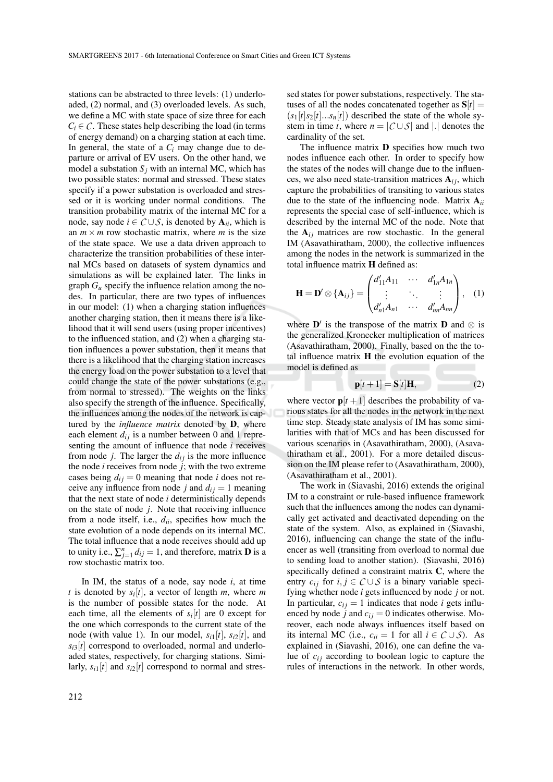stations can be abstracted to three levels: (1) underloaded, (2) normal, and (3) overloaded levels. As such, we define a MC with state space of size three for each  $C_i \in \mathcal{C}$ . These states help describing the load (in terms of energy demand) on a charging station at each time. In general, the state of a  $C_i$  may change due to departure or arrival of EV users. On the other hand, we model a substation  $S_i$  with an internal MC, which has two possible states: normal and stressed. These states specify if a power substation is overloaded and stressed or it is working under normal conditions. The transition probability matrix of the internal MC for a node, say node *i* ∈  $C \cup S$ , is denoted by  $A_{ii}$ , which is an  $m \times m$  row stochastic matrix, where *m* is the size of the state space. We use a data driven approach to characterize the transition probabilities of these internal MCs based on datasets of system dynamics and simulations as will be explained later. The links in graph  $G_u$  specify the influence relation among the nodes. In particular, there are two types of influences in our model: (1) when a charging station influences another charging station, then it means there is a likelihood that it will send users (using proper incentives) to the influenced station, and (2) when a charging station influences a power substation, then it means that there is a likelihood that the charging station increases the energy load on the power substation to a level that could change the state of the power substations (e.g., from normal to stressed). The weights on the links also specify the strength of the influence. Specifically, the influences among the nodes of the network is captured by the *influence matrix* denoted by D, where each element  $d_{ij}$  is a number between 0 and 1 representing the amount of influence that node *i* receives from node *j*. The larger the  $d_{ij}$  is the more influence the node *i* receives from node *j*; with the two extreme cases being  $d_{ij} = 0$  meaning that node *i* does not receive any influence from node *j* and  $d_{ij} = 1$  meaning that the next state of node *i* deterministically depends on the state of node *j*. Note that receiving influence from a node itself, i.e., *dii*, specifies how much the state evolution of a node depends on its internal MC. The total influence that a node receives should add up to unity i.e.,  $\sum_{j=1}^{n} d_{ij} = 1$ , and therefore, matrix **D** is a row stochastic matrix too.

In IM, the status of a node, say node *i*, at time *t* is denoted by  $s_i[t]$ , a vector of length *m*, where *m* is the number of possible states for the node. At each time, all the elements of  $s_i[t]$  are 0 except for the one which corresponds to the current state of the node (with value 1). In our model,  $s_{i1}[t]$ ,  $s_{i2}[t]$ , and  $s_{i3}[t]$  correspond to overloaded, normal and underloaded states, respectively, for charging stations. Similarly,  $s_{i1}[t]$  and  $s_{i2}[t]$  correspond to normal and stres-

sed states for power substations, respectively. The statuses of all the nodes concatenated together as  $S[t] =$  $(s_1[t]s_2[t]...s_n[t])$  described the state of the whole system in time *t*, where  $n = |C \cup S|$  and |.| denotes the cardinality of the set.

The influence matrix **D** specifies how much two nodes influence each other. In order to specify how the states of the nodes will change due to the influences, we also need state-transition matrices  $A_{ij}$ , which capture the probabilities of transiting to various states due to the state of the influencing node. Matrix A*ii* represents the special case of self-influence, which is described by the internal MC of the node. Note that the  $A_{ij}$  matrices are row stochastic. In the general IM (Asavathiratham, 2000), the collective influences among the nodes in the network is summarized in the total influence matrix H defined as:

$$
\mathbf{H} = \mathbf{D}' \otimes \{ \mathbf{A}_{ij} \} = \begin{pmatrix} d'_{11} A_{11} & \cdots & d'_{1n} A_{1n} \\ \vdots & \ddots & \vdots \\ d'_{n1} A_{n1} & \cdots & d'_{nn} A_{nn} \end{pmatrix}, \quad (1)
$$

where  $\mathbf{D}'$  is the transpose of the matrix  $\mathbf{D}$  and  $\otimes$  is the generalized Kronecker multiplication of matrices (Asavathiratham, 2000). Finally, based on the the total influence matrix  $H$  the evolution equation of the model is defined as

$$
\mathbf{p}[t+1] = \mathbf{S}[t]\mathbf{H},\tag{2}
$$

where vector  $p[t+1]$  describes the probability of various states for all the nodes in the network in the next time step. Steady state analysis of IM has some similarities with that of MCs and has been discussed for various scenarios in (Asavathiratham, 2000), (Asavathiratham et al., 2001). For a more detailed discussion on the IM please refer to (Asavathiratham, 2000), (Asavathiratham et al., 2001).

The work in (Siavashi, 2016) extends the original IM to a constraint or rule-based influence framework such that the influences among the nodes can dynamically get activated and deactivated depending on the state of the system. Also, as explained in (Siavashi, 2016), influencing can change the state of the influencer as well (transiting from overload to normal due to sending load to another station). (Siavashi, 2016) specifically defined a constraint matrix  $C$ , where the entry  $c_{ij}$  for  $i, j \in \mathcal{C} \cup \mathcal{S}$  is a binary variable specifying whether node *i* gets influenced by node *j* or not. In particular,  $c_{ij} = 1$  indicates that node *i* gets influenced by node *j* and  $c_{ij} = 0$  indicates otherwise. Moreover, each node always influences itself based on its internal MC (i.e.,  $c_{ii} = 1$  for all  $i \in \mathcal{C} \cup \mathcal{S}$ ). As explained in (Siavashi, 2016), one can define the value of  $c_{ij}$  according to boolean logic to capture the rules of interactions in the network. In other words,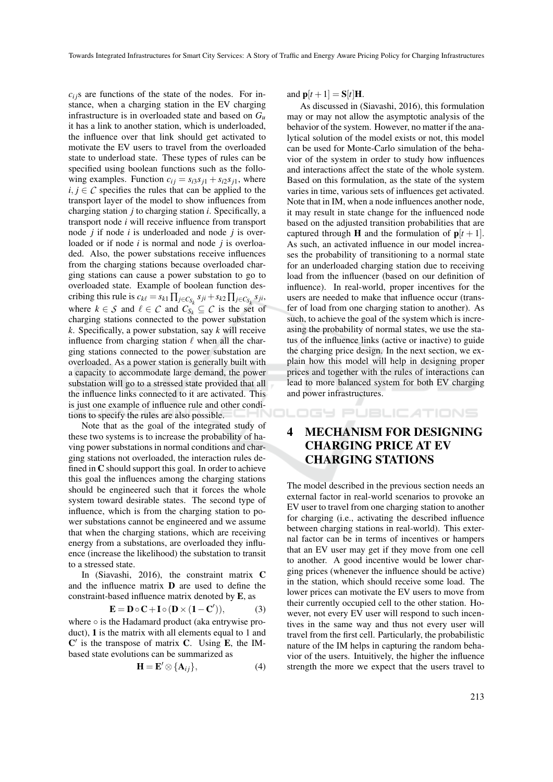$c_{ij}$ s are functions of the state of the nodes. For instance, when a charging station in the EV charging infrastructure is in overloaded state and based on *G<sup>u</sup>* it has a link to another station, which is underloaded, the influence over that link should get activated to motivate the EV users to travel from the overloaded state to underload state. These types of rules can be specified using boolean functions such as the following examples. Function  $c_{ij} = s_{i3}s_{j1} + s_{i2}s_{j1}$ , where  $i, j \in \mathcal{C}$  specifies the rules that can be applied to the transport layer of the model to show influences from charging station *j* to charging station *i*. Specifically, a transport node *i* will receive influence from transport node *j* if node *i* is underloaded and node *j* is overloaded or if node *i* is normal and node *j* is overloaded. Also, the power substations receive influences from the charging stations because overloaded charging stations can cause a power substation to go to overloaded state. Example of boolean function describing this rule is  $c_{k\ell} = s_{k1} \prod_{j \in C_{S_k}} s_{ji} + s_{k2} \prod_{j \in C_{S_k}} s_{ji}$ , where  $k \in S$  and  $\ell \in C$  and  $C_{S_k} \subseteq C$  is the set of charging stations connected to the power substation *k*. Specifically, a power substation, say *k* will receive influence from charging station  $\ell$  when all the charging stations connected to the power substation are overloaded. As a power station is generally built with a capacity to accommodate large demand, the power substation will go to a stressed state provided that all the influence links connected to it are activated. This is just one example of influence rule and other conditions to specify the rules are also possible.

Note that as the goal of the integrated study of these two systems is to increase the probability of having power substations in normal conditions and charging stations not overloaded, the interaction rules defined in  $C$  should support this goal. In order to achieve this goal the influences among the charging stations should be engineered such that it forces the whole system toward desirable states. The second type of influence, which is from the charging station to power substations cannot be engineered and we assume that when the charging stations, which are receiving energy from a substations, are overloaded they influence (increase the likelihood) the substation to transit to a stressed state.

In (Siavashi, 2016), the constraint matrix C and the influence matrix D are used to define the constraint-based influence matrix denoted by E, as

$$
\mathbf{E} = \mathbf{D} \circ \mathbf{C} + \mathbf{I} \circ (\mathbf{D} \times (1 - \mathbf{C}')), \tag{3}
$$

where ∘ is the Hadamard product (aka entrywise product), 1 is the matrix with all elements equal to 1 and  $\mathbb{C}'$  is the transpose of matrix  $\mathbb{C}$ . Using  $\mathbb{E}$ , the IMbased state evolutions can be summarized as

$$
\mathbf{H} = \mathbf{E}' \otimes \{\mathbf{A}_{ij}\},\tag{4}
$$

and  $\mathbf{p}[t+1] = \mathbf{S}[t]\mathbf{H}$ .

As discussed in (Siavashi, 2016), this formulation may or may not allow the asymptotic analysis of the behavior of the system. However, no matter if the analytical solution of the model exists or not, this model can be used for Monte-Carlo simulation of the behavior of the system in order to study how influences and interactions affect the state of the whole system. Based on this formulation, as the state of the system varies in time, various sets of influences get activated. Note that in IM, when a node influences another node, it may result in state change for the influenced node based on the adjusted transition probabilities that are captured through **H** and the formulation of  $p[t + 1]$ . As such, an activated influence in our model increases the probability of transitioning to a normal state for an underloaded charging station due to receiving load from the influencer (based on our definition of influence). In real-world, proper incentives for the users are needed to make that influence occur (transfer of load from one charging station to another). As such, to achieve the goal of the system which is increasing the probability of normal states, we use the status of the influence links (active or inactive) to guide the charging price design. In the next section, we explain how this model will help in designing proper prices and together with the rules of interactions can lead to more balanced system for both EV charging and power infrastructures.

#### LOGY PUBLIC ATIONS

# 4 MECHANISM FOR DESIGNING CHARGING PRICE AT EV CHARGING STATIONS

The model described in the previous section needs an external factor in real-world scenarios to provoke an EV user to travel from one charging station to another for charging (i.e., activating the described influence between charging stations in real-world). This external factor can be in terms of incentives or hampers that an EV user may get if they move from one cell to another. A good incentive would be lower charging prices (whenever the influence should be active) in the station, which should receive some load. The lower prices can motivate the EV users to move from their currently occupied cell to the other station. However, not every EV user will respond to such incentives in the same way and thus not every user will travel from the first cell. Particularly, the probabilistic nature of the IM helps in capturing the random behavior of the users. Intuitively, the higher the influence strength the more we expect that the users travel to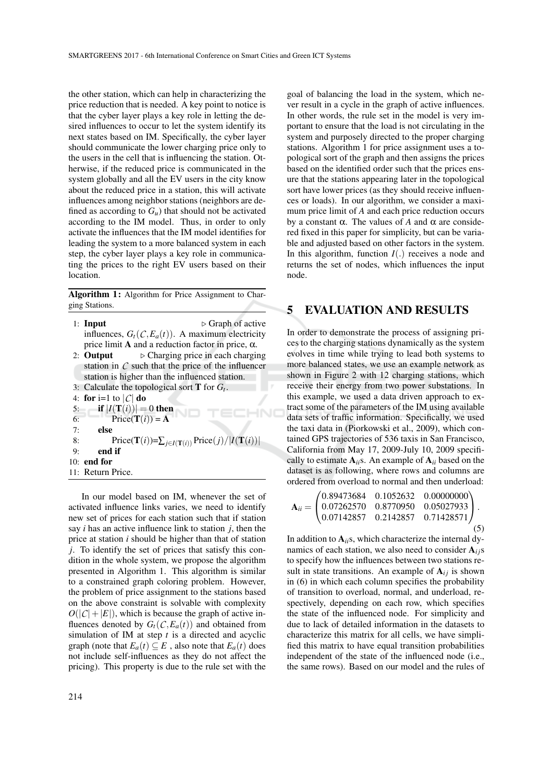the other station, which can help in characterizing the price reduction that is needed. A key point to notice is that the cyber layer plays a key role in letting the desired influences to occur to let the system identify its next states based on IM. Specifically, the cyber layer should communicate the lower charging price only to the users in the cell that is influencing the station. Otherwise, if the reduced price is communicated in the system globally and all the EV users in the city know about the reduced price in a station, this will activate influences among neighbor stations (neighbors are defined as according to  $G_u$ ) that should not be activated according to the IM model. Thus, in order to only activate the influences that the IM model identifies for leading the system to a more balanced system in each step, the cyber layer plays a key role in communicating the prices to the right EV users based on their location.

Algorithm 1: Algorithm for Price Assignment to Charging Stations.

- 1: **Input**  $\triangleright$  Graph of active influences,  $G_t(C, E_a(t))$ . A maximum electricity price limit **A** and a reduction factor in price,  $\alpha$ . 2: **Output**  $\triangleright$  Charging price in each charging station in  $C$  such that the price of the influencer station is higher than the influenced station. 3: Calculate the topological sort **T** for  $G_t$ . 4: **for** i=1 to  $|C|$  **do**<br>5: **if**  $|I(\mathbf{T}(i))|$  = 5: **if**  $|I(\mathbf{T}(i))| = 0$  then<br>6: Price( $\mathbf{T}(i)$ ) = A ECHNO  $Price(T(i)) = A$ 7: else 8: Price( $\mathbf{T}(i)$ )= $\sum_{j \in I(\mathbf{T}(i))}$  Price( $j$ )/ $|I(\mathbf{T}(i))|$ <br>9: end if end if
- 10: end for
- 11: Return Price.

In our model based on IM, whenever the set of activated influence links varies, we need to identify new set of prices for each station such that if station say *i* has an active influence link to station *j*, then the price at station *i* should be higher than that of station *j*. To identify the set of prices that satisfy this condition in the whole system, we propose the algorithm presented in Algorithm 1. This algorithm is similar to a constrained graph coloring problem. However, the problem of price assignment to the stations based on the above constraint is solvable with complexity  $O(|C|+|E|)$ , which is because the graph of active influences denoted by  $G_t(C, E_a(t))$  and obtained from simulation of IM at step *t* is a directed and acyclic graph (note that  $E_a(t) \subseteq E$ , also note that  $E_a(t)$  does not include self-influences as they do not affect the pricing). This property is due to the rule set with the

goal of balancing the load in the system, which never result in a cycle in the graph of active influences. In other words, the rule set in the model is very important to ensure that the load is not circulating in the system and purposely directed to the proper charging stations. Algorithm 1 for price assignment uses a topological sort of the graph and then assigns the prices based on the identified order such that the prices ensure that the stations appearing later in the topological sort have lower prices (as they should receive influences or loads). In our algorithm, we consider a maximum price limit of *A* and each price reduction occurs by a constant α. The values of *A* and α are considered fixed in this paper for simplicity, but can be variable and adjusted based on other factors in the system. In this algorithm, function  $I(.)$  receives a node and returns the set of nodes, which influences the input node.

### 5 EVALUATION AND RESULTS

In order to demonstrate the process of assigning prices to the charging stations dynamically as the system evolves in time while trying to lead both systems to more balanced states, we use an example network as shown in Figure 2 with 12 charging stations, which receive their energy from two power substations. In this example, we used a data driven approach to extract some of the parameters of the IM using available data sets of traffic information. Specifically, we used the taxi data in (Piorkowski et al., 2009), which contained GPS trajectories of 536 taxis in San Francisco, California from May 17, 2009-July 10, 2009 specifically to estimate  $A_{ii}$ s. An example of  $A_{ii}$  based on the dataset is as following, where rows and columns are ordered from overload to normal and then underload:

$$
\mathbf{A}_{ii} = \begin{pmatrix} 0.89473684 & 0.1052632 & 0.00000000 \\ 0.07262570 & 0.8770950 & 0.05027933 \\ 0.07142857 & 0.2142857 & 0.71428571 \end{pmatrix} . \tag{5}
$$

In addition to  $A_{ii}$ s, which characterize the internal dynamics of each station, we also need to consider  $A_{ij}$ s to specify how the influences between two stations result in state transitions. An example of  $A_{ij}$  is shown in (6) in which each column specifies the probability of transition to overload, normal, and underload, respectively, depending on each row, which specifies the state of the influenced node. For simplicity and due to lack of detailed information in the datasets to characterize this matrix for all cells, we have simplified this matrix to have equal transition probabilities independent of the state of the influenced node (i.e., the same rows). Based on our model and the rules of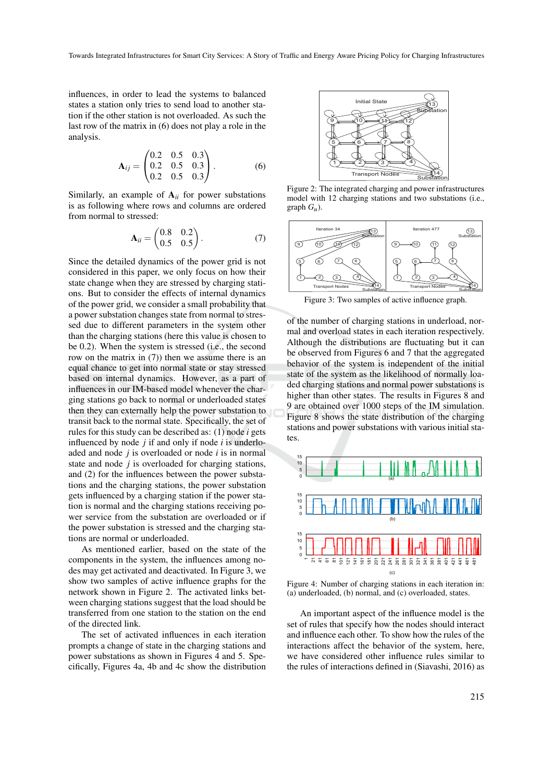influences, in order to lead the systems to balanced states a station only tries to send load to another station if the other station is not overloaded. As such the last row of the matrix in (6) does not play a role in the analysis.

$$
\mathbf{A}_{ij} = \begin{pmatrix} 0.2 & 0.5 & 0.3 \\ 0.2 & 0.5 & 0.3 \\ 0.2 & 0.5 & 0.3 \end{pmatrix} . \tag{6}
$$

Similarly, an example of  $A_{ii}$  for power substations is as following where rows and columns are ordered from normal to stressed:

$$
\mathbf{A}_{ii} = \begin{pmatrix} 0.8 & 0.2 \\ 0.5 & 0.5 \end{pmatrix} . \tag{7}
$$

Since the detailed dynamics of the power grid is not considered in this paper, we only focus on how their state change when they are stressed by charging stations. But to consider the effects of internal dynamics of the power grid, we consider a small probability that a power substation changes state from normal to stressed due to different parameters in the system other than the charging stations (here this value is chosen to be 0.2). When the system is stressed (i.e., the second row on the matrix in (7)) then we assume there is an equal chance to get into normal state or stay stressed based on internal dynamics. However, as a part of influences in our IM-based model whenever the charging stations go back to normal or underloaded states then they can externally help the power substation to transit back to the normal state. Specifically, the set of rules for this study can be described as: (1) node *i* gets influenced by node *j* if and only if node *i* is underloaded and node *j* is overloaded or node *i* is in normal state and node *j* is overloaded for charging stations, and (2) for the influences between the power substations and the charging stations, the power substation gets influenced by a charging station if the power station is normal and the charging stations receiving power service from the substation are overloaded or if the power substation is stressed and the charging stations are normal or underloaded.

As mentioned earlier, based on the state of the components in the system, the influences among nodes may get activated and deactivated. In Figure 3, we show two samples of active influence graphs for the network shown in Figure 2. The activated links between charging stations suggest that the load should be transferred from one station to the station on the end of the directed link.

The set of activated influences in each iteration prompts a change of state in the charging stations and power substations as shown in Figures 4 and 5. Specifically, Figures 4a, 4b and 4c show the distribution



Figure 2: The integrated charging and power infrastructures model with 12 charging stations and two substations (i.e., graph  $G_u$ ).



Figure 3: Two samples of active influence graph.

of the number of charging stations in underload, normal and overload states in each iteration respectively. Although the distributions are fluctuating but it can be observed from Figures 6 and 7 that the aggregated behavior of the system is independent of the initial state of the system as the likelihood of normally loaded charging stations and normal power substations is higher than other states. The results in Figures 8 and 9 are obtained over 1000 steps of the IM simulation. Figure 8 shows the state distribution of the charging stations and power substations with various initial states.



Figure 4: Number of charging stations in each iteration in: (a) underloaded, (b) normal, and (c) overloaded, states.

An important aspect of the influence model is the set of rules that specify how the nodes should interact and influence each other. To show how the rules of the interactions affect the behavior of the system, here, we have considered other influence rules similar to the rules of interactions defined in (Siavashi, 2016) as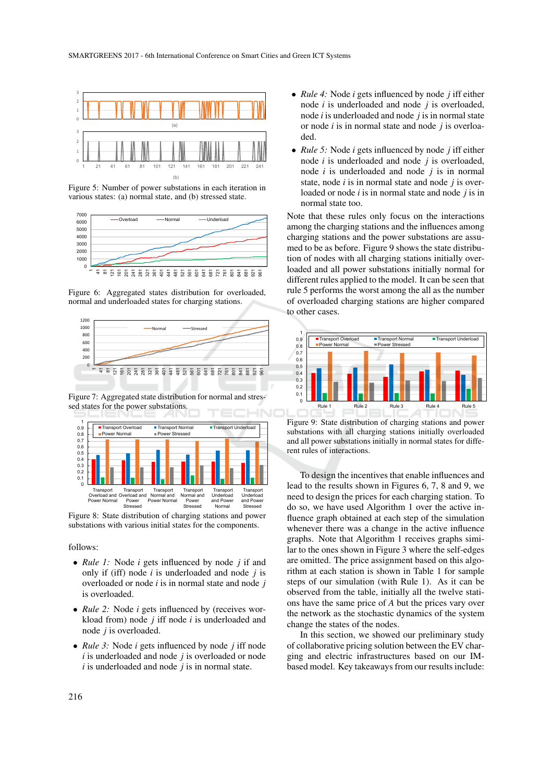

Figure 5: Number of power substations in each iteration in various states: (a) normal state, and (b) stressed state.



Figure 6: Aggregated states distribution for overloaded, normal and underloaded states for charging stations.



Figure 7: Aggregated state distribution for normal and stressed states for the power substations.



Figure 8: State distribution of charging stations and power substations with various initial states for the components.

#### follows:

- *Rule 1:* Node *i* gets influenced by node *j* if and only if (iff) node *i* is underloaded and node *j* is overloaded or node *i* is in normal state and node *j* is overloaded.
- *Rule 2:* Node *i* gets influenced by (receives workload from) node *j* iff node *i* is underloaded and node *j* is overloaded.
- *Rule 3:* Node *i* gets influenced by node *j* iff node *i* is underloaded and node *j* is overloaded or node *i* is underloaded and node *j* is in normal state.
- *Rule 4:* Node *i* gets influenced by node *j* iff either node *i* is underloaded and node *j* is overloaded, node *i* is underloaded and node *j* is in normal state or node *i* is in normal state and node *j* is overloaded.
- *Rule 5:* Node *i* gets influenced by node *j* iff either node *i* is underloaded and node *j* is overloaded, node *i* is underloaded and node *j* is in normal state, node *i* is in normal state and node *j* is overloaded or node *i* is in normal state and node *j* is in normal state too.

Note that these rules only focus on the interactions among the charging stations and the influences among charging stations and the power substations are assumed to be as before. Figure 9 shows the state distribution of nodes with all charging stations initially overloaded and all power substations initially normal for different rules applied to the model. It can be seen that rule 5 performs the worst among the all as the number of overloaded charging stations are higher compared to other cases.



Figure 9: State distribution of charging stations and power substations with all charging stations initially overloaded and all power substations initially in normal states for different rules of interactions.

To design the incentives that enable influences and lead to the results shown in Figures 6, 7, 8 and 9, we need to design the prices for each charging station. To do so, we have used Algorithm 1 over the active influence graph obtained at each step of the simulation whenever there was a change in the active influence graphs. Note that Algorithm 1 receives graphs similar to the ones shown in Figure 3 where the self-edges are omitted. The price assignment based on this algorithm at each station is shown in Table 1 for sample steps of our simulation (with Rule 1). As it can be observed from the table, initially all the twelve stations have the same price of *A* but the prices vary over the network as the stochastic dynamics of the system change the states of the nodes.

In this section, we showed our preliminary study of collaborative pricing solution between the EV charging and electric infrastructures based on our IMbased model. Key takeaways from our results include: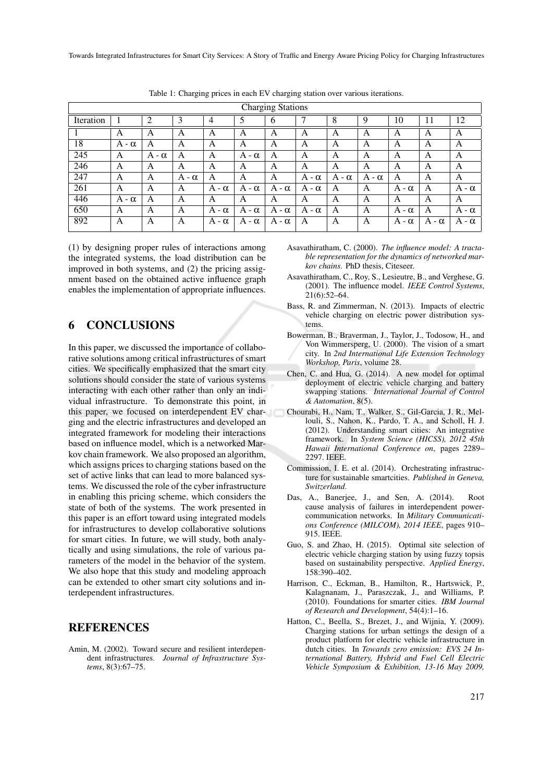Towards Integrated Infrastructures for Smart City Services: A Story of Traffic and Energy Aware Pricing Policy for Charging Infrastructures

| <b>Charging Stations</b> |              |              |              |                |                |              |                 |              |              |                |              |              |
|--------------------------|--------------|--------------|--------------|----------------|----------------|--------------|-----------------|--------------|--------------|----------------|--------------|--------------|
| Iteration                |              | ↑            | 3            | $\overline{4}$ |                | 6            | ┑               | 8            | 9            | 10             | 11           | 12           |
|                          | A            | A            | A            | A              | A              | A            | A               | A            | A            | A              | A            | A            |
| 18                       | $A - \alpha$ | A            | A            | A              | A              | A            | A               | A            | А            | A              | A            | А            |
| 245                      | A            | $A - \alpha$ | A            | A              | $A - \alpha$   | A            | A               | A            | А            | A              | A            | A            |
| 246                      | A            | A            | A            | A              | A              | A            | A               | A            | A            | A              | A            | A            |
| 247                      | А            | A            | $A - \alpha$ | А              | А              | A            | $A - \alpha$    | $A - \alpha$ | $A - \alpha$ | A              | A            | А            |
| 261                      | А            | A            | A            | $A - \alpha$   | $A - \alpha$   | $A - \alpha$ | $\alpha$<br>A - | A            | А            | $-\alpha$<br>A | A            | $A - \alpha$ |
| 446                      | $A - \alpha$ | A            | A            | A              | A              | A            | A               | A            | A            | A              | A            | A            |
| 650                      | A            | A            | A            | $A - \alpha$   | A - α          | $A - \alpha$ | $A - \alpha$    | A            | А            | $A - \alpha$   | A            | $A - \alpha$ |
| 892                      | A            | A            | A            | $A - \alpha$   | $-\alpha$<br>А | $A - \alpha$ | A               | A            | A            | $-\alpha$<br>A | $A - \alpha$ | $A - \alpha$ |

Table 1: Charging prices in each EV charging station over various iterations.

(1) by designing proper rules of interactions among the integrated systems, the load distribution can be improved in both systems, and (2) the pricing assignment based on the obtained active influence graph enables the implementation of appropriate influences.

# 6 CONCLUSIONS

In this paper, we discussed the importance of collaborative solutions among critical infrastructures of smart cities. We specifically emphasized that the smart city solutions should consider the state of various systems interacting with each other rather than only an individual infrastructure. To demonstrate this point, in this paper, we focused on interdependent EV charging and the electric infrastructures and developed an integrated framework for modeling their interactions based on influence model, which is a networked Markov chain framework. We also proposed an algorithm, which assigns prices to charging stations based on the set of active links that can lead to more balanced systems. We discussed the role of the cyber infrastructure in enabling this pricing scheme, which considers the state of both of the systems. The work presented in this paper is an effort toward using integrated models for infrastructures to develop collaborative solutions for smart cities. In future, we will study, both analytically and using simulations, the role of various parameters of the model in the behavior of the system. We also hope that this study and modeling approach can be extended to other smart city solutions and interdependent infrastructures.

### **REFERENCES**

Amin, M. (2002). Toward secure and resilient interdependent infrastructures. *Journal of Infrastructure Systems*, 8(3):67–75.

- Asavathiratham, C. (2000). *The influence model: A tractable representation for the dynamics of networked markov chains*. PhD thesis, Citeseer.
- Asavathiratham, C., Roy, S., Lesieutre, B., and Verghese, G. (2001). The influence model. *IEEE Control Systems*, 21(6):52–64.
- Bass, R. and Zimmerman, N. (2013). Impacts of electric vehicle charging on electric power distribution systems.
- Bowerman, B., Braverman, J., Taylor, J., Todosow, H., and Von Wimmersperg, U. (2000). The vision of a smart city. In *2nd International Life Extension Technology Workshop, Paris*, volume 28.
- Chen, C. and Hua, G. (2014). A new model for optimal deployment of electric vehicle charging and battery swapping stations. *International Journal of Control & Automation*, 8(5).
- Chourabi, H., Nam, T., Walker, S., Gil-Garcia, J. R., Mellouli, S., Nahon, K., Pardo, T. A., and Scholl, H. J. (2012). Understanding smart cities: An integrative framework. In *System Science (HICSS), 2012 45th Hawaii International Conference on*, pages 2289– 2297. IEEE.
- Commission, I. E. et al. (2014). Orchestrating infrastructure for sustainable smartcities. *Published in Geneva, Switzerland*.
- Das, A., Banerjee, J., and Sen, A. (2014). Root cause analysis of failures in interdependent powercommunication networks. In *Military Communications Conference (MILCOM), 2014 IEEE*, pages 910– 915. IEEE.
- Guo, S. and Zhao, H. (2015). Optimal site selection of electric vehicle charging station by using fuzzy topsis based on sustainability perspective. *Applied Energy*, 158:390–402.
- Harrison, C., Eckman, B., Hamilton, R., Hartswick, P., Kalagnanam, J., Paraszczak, J., and Williams, P. (2010). Foundations for smarter cities. *IBM Journal of Research and Development*, 54(4):1–16.
- Hatton, C., Beella, S., Brezet, J., and Wijnia, Y. (2009). Charging stations for urban settings the design of a product platform for electric vehicle infrastructure in dutch cities. In *Towards zero emission: EVS 24 International Battery, Hybrid and Fuel Cell Electric Vehicle Symposium & Exhibition, 13-16 May 2009,*